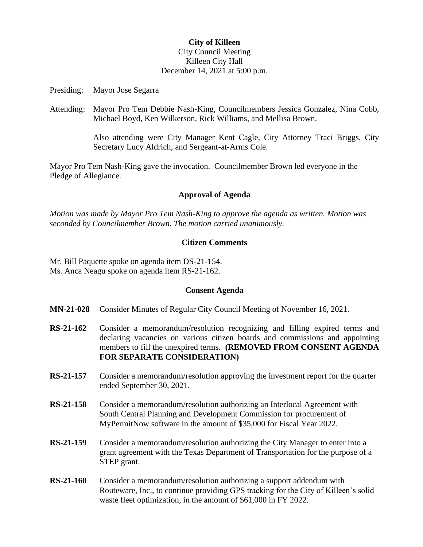# **City of Killeen** City Council Meeting Killeen City Hall December 14, 2021 at 5:00 p.m.

Presiding: Mayor Jose Segarra

Attending: Mayor Pro Tem Debbie Nash-King, Councilmembers Jessica Gonzalez, Nina Cobb, Michael Boyd, Ken Wilkerson, Rick Williams, and Mellisa Brown.

> Also attending were City Manager Kent Cagle, City Attorney Traci Briggs, City Secretary Lucy Aldrich, and Sergeant-at-Arms Cole.

Mayor Pro Tem Nash-King gave the invocation. Councilmember Brown led everyone in the Pledge of Allegiance.

## **Approval of Agenda**

*Motion was made by Mayor Pro Tem Nash-King to approve the agenda as written. Motion was seconded by Councilmember Brown. The motion carried unanimously.*

# **Citizen Comments**

Mr. Bill Paquette spoke on agenda item DS-21-154. Ms. Anca Neagu spoke on agenda item RS-21-162.

## **Consent Agenda**

- **MN-21-028** Consider Minutes of Regular City Council Meeting of November 16, 2021.
- **RS-21-162** Consider a memorandum/resolution recognizing and filling expired terms and declaring vacancies on various citizen boards and commissions and appointing members to fill the unexpired terms. **(REMOVED FROM CONSENT AGENDA FOR SEPARATE CONSIDERATION)**
- **RS-21-157** Consider a memorandum/resolution approving the investment report for the quarter ended September 30, 2021.
- **RS-21-158** Consider a memorandum/resolution authorizing an Interlocal Agreement with South Central Planning and Development Commission for procurement of MyPermitNow software in the amount of \$35,000 for Fiscal Year 2022.
- **RS-21-159** Consider a memorandum/resolution authorizing the City Manager to enter into a grant agreement with the Texas Department of Transportation for the purpose of a STEP grant.
- **RS-21-160** Consider a memorandum/resolution authorizing a support addendum with Routeware, Inc., to continue providing GPS tracking for the City of Killeen's solid waste fleet optimization, in the amount of \$61,000 in FY 2022.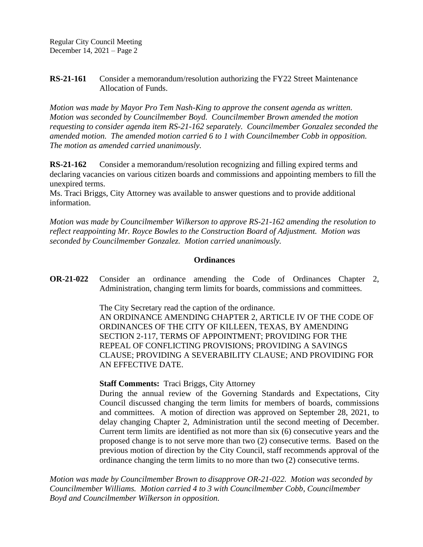**RS-21-161** Consider a memorandum/resolution authorizing the FY22 Street Maintenance Allocation of Funds.

*Motion was made by Mayor Pro Tem Nash-King to approve the consent agenda as written. Motion was seconded by Councilmember Boyd. Councilmember Brown amended the motion requesting to consider agenda item RS-21-162 separately. Councilmember Gonzalez seconded the amended motion. The amended motion carried 6 to 1 with Councilmember Cobb in opposition. The motion as amended carried unanimously.*

**RS-21-162** Consider a memorandum/resolution recognizing and filling expired terms and declaring vacancies on various citizen boards and commissions and appointing members to fill the unexpired terms.

Ms. Traci Briggs, City Attorney was available to answer questions and to provide additional information.

*Motion was made by Councilmember Wilkerson to approve RS-21-162 amending the resolution to reflect reappointing Mr. Royce Bowles to the Construction Board of Adjustment. Motion was seconded by Councilmember Gonzalez. Motion carried unanimously.*

## **Ordinances**

**OR-21-022** Consider an ordinance amending the Code of Ordinances Chapter 2, Administration, changing term limits for boards, commissions and committees.

> The City Secretary read the caption of the ordinance. AN ORDINANCE AMENDING CHAPTER 2, ARTICLE IV OF THE CODE OF ORDINANCES OF THE CITY OF KILLEEN, TEXAS, BY AMENDING SECTION 2-117, TERMS OF APPOINTMENT; PROVIDING FOR THE REPEAL OF CONFLICTING PROVISIONS; PROVIDING A SAVINGS CLAUSE; PROVIDING A SEVERABILITY CLAUSE; AND PROVIDING FOR AN EFFECTIVE DATE.

**Staff Comments:** Traci Briggs, City Attorney

During the annual review of the Governing Standards and Expectations, City Council discussed changing the term limits for members of boards, commissions and committees. A motion of direction was approved on September 28, 2021, to delay changing Chapter 2, Administration until the second meeting of December. Current term limits are identified as not more than six (6) consecutive years and the proposed change is to not serve more than two (2) consecutive terms. Based on the previous motion of direction by the City Council, staff recommends approval of the ordinance changing the term limits to no more than two (2) consecutive terms.

*Motion was made by Councilmember Brown to disapprove OR-21-022. Motion was seconded by Councilmember Williams. Motion carried 4 to 3 with Councilmember Cobb, Councilmember Boyd and Councilmember Wilkerson in opposition.*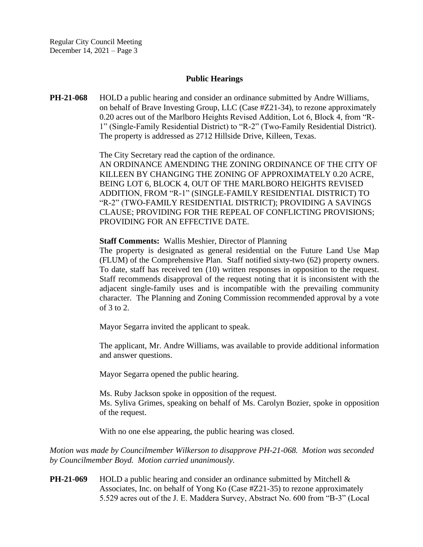## **Public Hearings**

**PH-21-068** HOLD a public hearing and consider an ordinance submitted by Andre Williams, on behalf of Brave Investing Group, LLC (Case #Z21-34), to rezone approximately 0.20 acres out of the Marlboro Heights Revised Addition, Lot 6, Block 4, from "R-1" (Single-Family Residential District) to "R-2" (Two-Family Residential District). The property is addressed as 2712 Hillside Drive, Killeen, Texas.

The City Secretary read the caption of the ordinance.

AN ORDINANCE AMENDING THE ZONING ORDINANCE OF THE CITY OF KILLEEN BY CHANGING THE ZONING OF APPROXIMATELY 0.20 ACRE, BEING LOT 6, BLOCK 4, OUT OF THE MARLBORO HEIGHTS REVISED ADDITION, FROM "R-1" (SINGLE-FAMILY RESIDENTIAL DISTRICT) TO "R-2" (TWO-FAMILY RESIDENTIAL DISTRICT); PROVIDING A SAVINGS CLAUSE; PROVIDING FOR THE REPEAL OF CONFLICTING PROVISIONS; PROVIDING FOR AN EFFECTIVE DATE.

#### **Staff Comments:** Wallis Meshier, Director of Planning

The property is designated as general residential on the Future Land Use Map (FLUM) of the Comprehensive Plan. Staff notified sixty-two (62) property owners. To date, staff has received ten (10) written responses in opposition to the request. Staff recommends disapproval of the request noting that it is inconsistent with the adjacent single-family uses and is incompatible with the prevailing community character. The Planning and Zoning Commission recommended approval by a vote of 3 to 2.

Mayor Segarra invited the applicant to speak.

The applicant, Mr. Andre Williams, was available to provide additional information and answer questions.

Mayor Segarra opened the public hearing.

Ms. Ruby Jackson spoke in opposition of the request. Ms. Syliva Grimes, speaking on behalf of Ms. Carolyn Bozier, spoke in opposition of the request.

With no one else appearing, the public hearing was closed.

*Motion was made by Councilmember Wilkerson to disapprove PH-21-068. Motion was seconded by Councilmember Boyd. Motion carried unanimously.*

**PH-21-069** HOLD a public hearing and consider an ordinance submitted by Mitchell & Associates, Inc. on behalf of Yong Ko (Case #Z21-35) to rezone approximately 5.529 acres out of the J. E. Maddera Survey, Abstract No. 600 from "B-3" (Local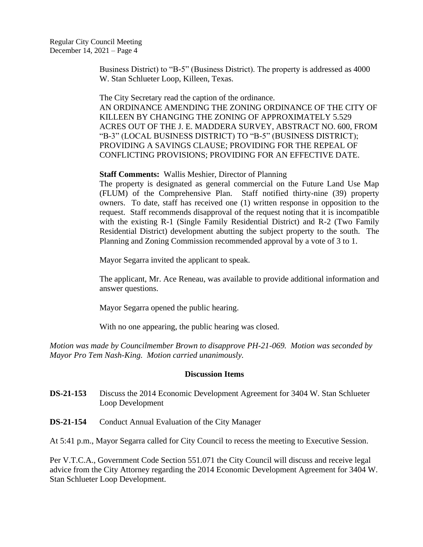Business District) to "B-5" (Business District). The property is addressed as 4000 W. Stan Schlueter Loop, Killeen, Texas.

The City Secretary read the caption of the ordinance.

AN ORDINANCE AMENDING THE ZONING ORDINANCE OF THE CITY OF KILLEEN BY CHANGING THE ZONING OF APPROXIMATELY 5.529 ACRES OUT OF THE J. E. MADDERA SURVEY, ABSTRACT NO. 600, FROM "B-3" (LOCAL BUSINESS DISTRICT) TO "B-5" (BUSINESS DISTRICT); PROVIDING A SAVINGS CLAUSE; PROVIDING FOR THE REPEAL OF CONFLICTING PROVISIONS; PROVIDING FOR AN EFFECTIVE DATE.

# **Staff Comments:** Wallis Meshier, Director of Planning

The property is designated as general commercial on the Future Land Use Map (FLUM) of the Comprehensive Plan. Staff notified thirty-nine (39) property owners. To date, staff has received one (1) written response in opposition to the request. Staff recommends disapproval of the request noting that it is incompatible with the existing R-1 (Single Family Residential District) and R-2 (Two Family Residential District) development abutting the subject property to the south. The Planning and Zoning Commission recommended approval by a vote of 3 to 1.

Mayor Segarra invited the applicant to speak.

The applicant, Mr. Ace Reneau, was available to provide additional information and answer questions.

Mayor Segarra opened the public hearing.

With no one appearing, the public hearing was closed.

*Motion was made by Councilmember Brown to disapprove PH-21-069. Motion was seconded by Mayor Pro Tem Nash-King. Motion carried unanimously.*

## **Discussion Items**

- **DS-21-153** Discuss the 2014 Economic Development Agreement for 3404 W. Stan Schlueter Loop Development
- **DS-21-154** Conduct Annual Evaluation of the City Manager

At 5:41 p.m., Mayor Segarra called for City Council to recess the meeting to Executive Session.

Per V.T.C.A., Government Code Section 551.071 the City Council will discuss and receive legal advice from the City Attorney regarding the 2014 Economic Development Agreement for 3404 W. Stan Schlueter Loop Development.